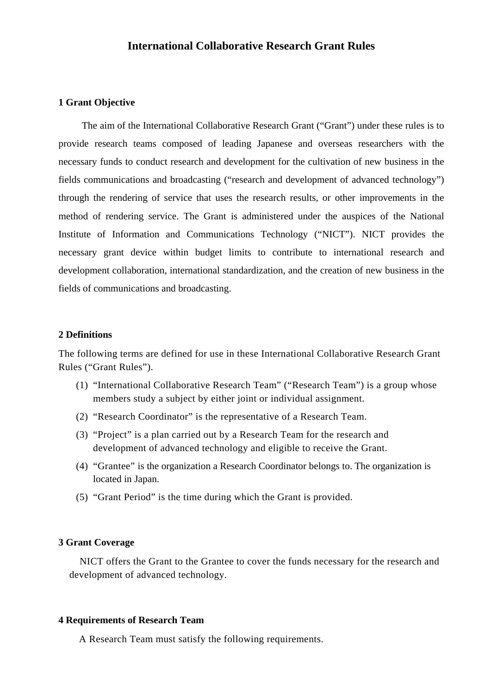# **International Collaborative Research Grant Rules**

#### **1 Grant Objective**

The aim of the International Collaborative Research Grant ("Grant") under these rules is to provide research teams composed of leading Japanese and overseas researchers with the necessary funds to conduct research and development for the cultivation of new business in the fields communications and broadcasting ("research and development of advanced technology") through the rendering of service that uses the research results, or other improvements in the method of rendering service. The Grant is administered under the auspices of the National Institute of Information and Communications Technology ("NICT"). NICT provides the necessary grant device within budget limits to contribute to international research and development collaboration, international standardization, and the creation of new business in the fields of communications and broadcasting.

#### **2 Definitions**

The following terms are defined for use in these International Collaborative Research Grant Rules ("Grant Rules").

- (1) "International Collaborative Research Team" ("Research Team") is a group whose members study a subject by either joint or individual assignment.
- (2) "Research Coordinator" is the representative of a Research Team.
- (3) "Project" is a plan carried out by a Research Team for the research and development of advanced technology and eligible to receive the Grant.
- (4) "Grantee" is the organization a Research Coordinator belongs to. The organization is located in Japan.
- (5) "Grant Period" is the time during which the Grant is provided.

#### **3 Grant Coverage**

NICT offers the Grant to the Grantee to cover the funds necessary for the research and development of advanced technology.

#### **4 Requirements of Research Team**

A Research Team must satisfy the following requirements.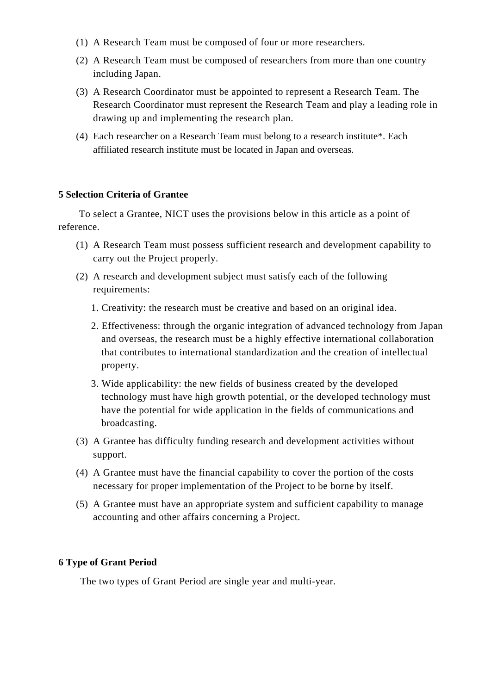- (1) A Research Team must be composed of four or more researchers.
- (2) A Research Team must be composed of researchers from more than one country including Japan.
- (3) A Research Coordinator must be appointed to represent a Research Team. The Research Coordinator must represent the Research Team and play a leading role in drawing up and implementing the research plan.
- (4) Each researcher on a Research Team must belong to a research institute\*. Each affiliated research institute must be located in Japan and overseas.

# **5 Selection Criteria of Grantee**

To select a Grantee, NICT uses the provisions below in this article as a point of reference.

- (1) A Research Team must possess sufficient research and development capability to carry out the Project properly.
- (2) A research and development subject must satisfy each of the following requirements:
	- 1. Creativity: the research must be creative and based on an original idea.
	- 2. Effectiveness: through the organic integration of advanced technology from Japan and overseas, the research must be a highly effective international collaboration that contributes to international standardization and the creation of intellectual property.
	- 3. Wide applicability: the new fields of business created by the developed technology must have high growth potential, or the developed technology must have the potential for wide application in the fields of communications and broadcasting.
- (3) A Grantee has difficulty funding research and development activities without support.
- (4) A Grantee must have the financial capability to cover the portion of the costs necessary for proper implementation of the Project to be borne by itself.
- (5) A Grantee must have an appropriate system and sufficient capability to manage accounting and other affairs concerning a Project.

# **6 Type of Grant Period**

The two types of Grant Period are single year and multi-year.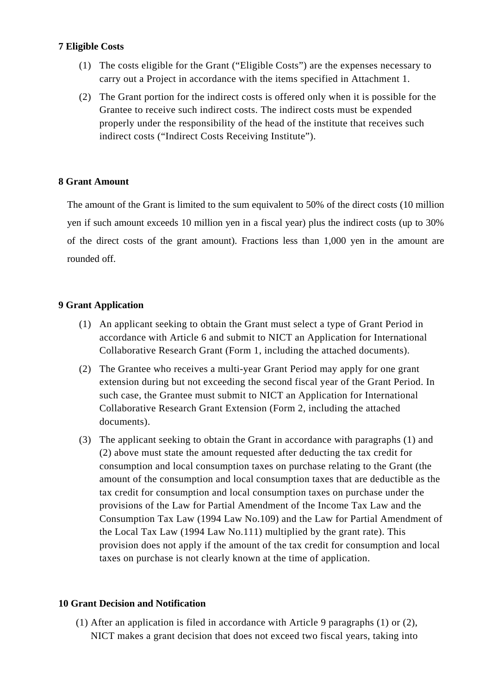# **7 Eligible Costs**

- (1) The costs eligible for the Grant ("Eligible Costs") are the expenses necessary to carry out a Project in accordance with the items specified in Attachment 1.
- (2) The Grant portion for the indirect costs is offered only when it is possible for the Grantee to receive such indirect costs. The indirect costs must be expended properly under the responsibility of the head of the institute that receives such indirect costs ("Indirect Costs Receiving Institute").

# **8 Grant Amount**

The amount of the Grant is limited to the sum equivalent to 50% of the direct costs (10 million yen if such amount exceeds 10 million yen in a fiscal year) plus the indirect costs (up to 30% of the direct costs of the grant amount). Fractions less than 1,000 yen in the amount are rounded off.

## **9 Grant Application**

- (1) An applicant seeking to obtain the Grant must select a type of Grant Period in accordance with Article 6 and submit to NICT an Application for International Collaborative Research Grant (Form 1, including the attached documents).
- (2) The Grantee who receives a multi-year Grant Period may apply for one grant extension during but not exceeding the second fiscal year of the Grant Period. In such case, the Grantee must submit to NICT an Application for International Collaborative Research Grant Extension (Form 2, including the attached documents).
- (3) The applicant seeking to obtain the Grant in accordance with paragraphs (1) and (2) above must state the amount requested after deducting the tax credit for consumption and local consumption taxes on purchase relating to the Grant (the amount of the consumption and local consumption taxes that are deductible as the tax credit for consumption and local consumption taxes on purchase under the provisions of the Law for Partial Amendment of the Income Tax Law and the Consumption Tax Law (1994 Law No.109) and the Law for Partial Amendment of the Local Tax Law (1994 Law No.111) multiplied by the grant rate). This provision does not apply if the amount of the tax credit for consumption and local taxes on purchase is not clearly known at the time of application.

#### **10 Grant Decision and Notification**

(1) After an application is filed in accordance with Article 9 paragraphs (1) or (2), NICT makes a grant decision that does not exceed two fiscal years, taking into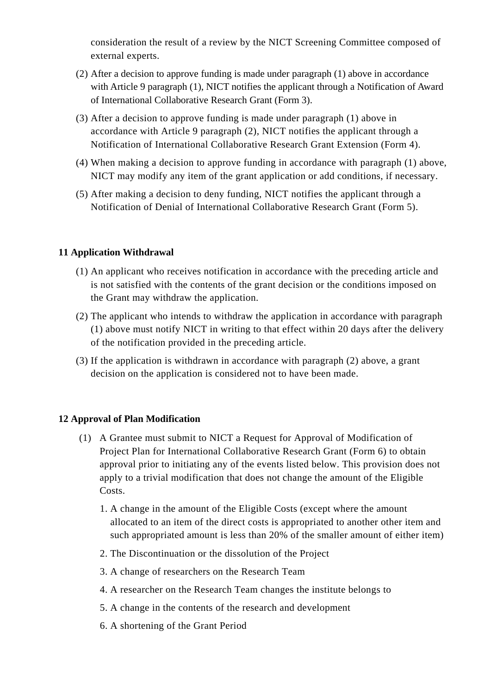consideration the result of a review by the NICT Screening Committee composed of external experts.

- (2) After a decision to approve funding is made under paragraph (1) above in accordance with Article 9 paragraph (1), NICT notifies the applicant through a Notification of Award of International Collaborative Research Grant (Form 3).
- (3) After a decision to approve funding is made under paragraph (1) above in accordance with Article 9 paragraph (2), NICT notifies the applicant through a Notification of International Collaborative Research Grant Extension (Form 4).
- (4) When making a decision to approve funding in accordance with paragraph (1) above, NICT may modify any item of the grant application or add conditions, if necessary.
- (5) After making a decision to deny funding, NICT notifies the applicant through a Notification of Denial of International Collaborative Research Grant (Form 5).

# **11 Application Withdrawal**

- (1) An applicant who receives notification in accordance with the preceding article and is not satisfied with the contents of the grant decision or the conditions imposed on the Grant may withdraw the application.
- (2) The applicant who intends to withdraw the application in accordance with paragraph (1) above must notify NICT in writing to that effect within 20 days after the delivery of the notification provided in the preceding article.
- (3) If the application is withdrawn in accordance with paragraph (2) above, a grant decision on the application is considered not to have been made.

# **12 Approval of Plan Modification**

- (1) A Grantee must submit to NICT a Request for Approval of Modification of Project Plan for International Collaborative Research Grant (Form 6) to obtain approval prior to initiating any of the events listed below. This provision does not apply to a trivial modification that does not change the amount of the Eligible Costs.
	- 1. A change in the amount of the Eligible Costs (except where the amount allocated to an item of the direct costs is appropriated to another other item and such appropriated amount is less than 20% of the smaller amount of either item)
	- 2. The Discontinuation or the dissolution of the Project
	- 3. A change of researchers on the Research Team
	- 4. A researcher on the Research Team changes the institute belongs to
	- 5. A change in the contents of the research and development
	- 6. A shortening of the Grant Period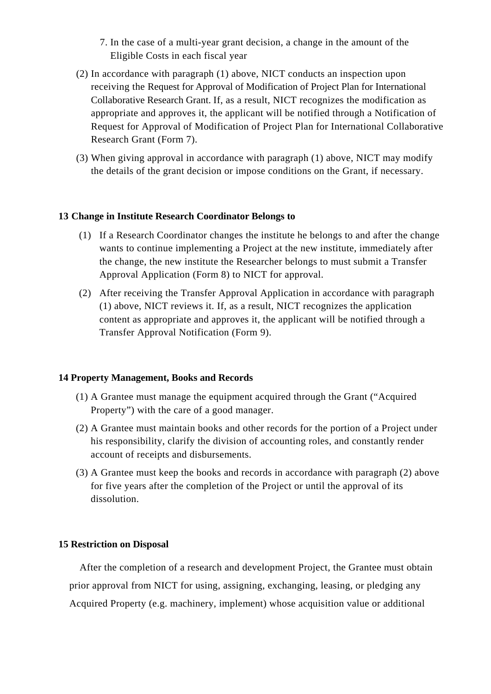- 7. In the case of a multi-year grant decision, a change in the amount of the Eligible Costs in each fiscal year
- (2) In accordance with paragraph (1) above, NICT conducts an inspection upon receiving the Request for Approval of Modification of Project Plan for International Collaborative Research Grant. If, as a result, NICT recognizes the modification as appropriate and approves it, the applicant will be notified through a Notification of Request for Approval of Modification of Project Plan for International Collaborative Research Grant (Form 7).
- (3) When giving approval in accordance with paragraph (1) above, NICT may modify the details of the grant decision or impose conditions on the Grant, if necessary.

## **13 Change in Institute Research Coordinator Belongs to**

- (1) If a Research Coordinator changes the institute he belongs to and after the change wants to continue implementing a Project at the new institute, immediately after the change, the new institute the Researcher belongs to must submit a Transfer Approval Application (Form 8) to NICT for approval.
- (2) After receiving the Transfer Approval Application in accordance with paragraph (1) above, NICT reviews it. If, as a result, NICT recognizes the application content as appropriate and approves it, the applicant will be notified through a Transfer Approval Notification (Form 9).

#### **14 Property Management, Books and Records**

- (1) A Grantee must manage the equipment acquired through the Grant ("Acquired Property") with the care of a good manager.
- (2) A Grantee must maintain books and other records for the portion of a Project under his responsibility, clarify the division of accounting roles, and constantly render account of receipts and disbursements.
- (3) A Grantee must keep the books and records in accordance with paragraph (2) above for five years after the completion of the Project or until the approval of its dissolution.

#### **15 Restriction on Disposal**

After the completion of a research and development Project, the Grantee must obtain prior approval from NICT for using, assigning, exchanging, leasing, or pledging any Acquired Property (e.g. machinery, implement) whose acquisition value or additional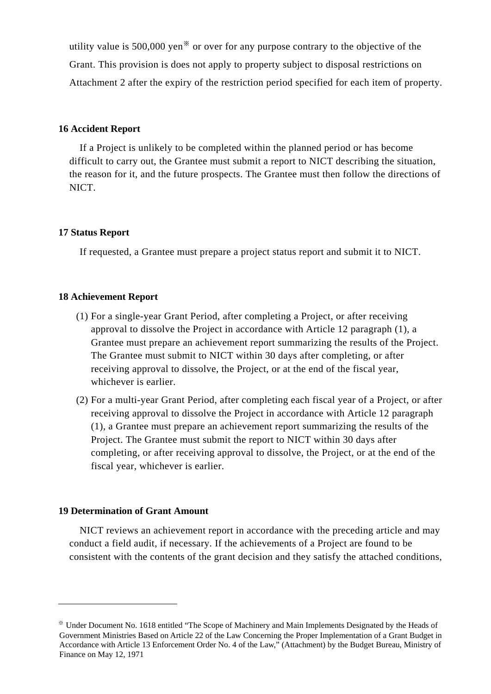utility value is  $500,000$  yen<sup>\*</sup> or over for any purpose contrary to the objective of the Grant. This provision is does not apply to property subject to disposal restrictions on Attachment 2 after the expiry of the restriction period specified for each item of property.

#### **16 Accident Report**

If a Project is unlikely to be completed within the planned period or has become difficult to carry out, the Grantee must submit a report to NICT describing the situation, the reason for it, and the future prospects. The Grantee must then follow the directions of NICT.

## **17 Status Report**

If requested, a Grantee must prepare a project status report and submit it to NICT.

#### **18 Achievement Report**

- (1) For a single-year Grant Period, after completing a Project, or after receiving approval to dissolve the Project in accordance with Article 12 paragraph (1), a Grantee must prepare an achievement report summarizing the results of the Project. The Grantee must submit to NICT within 30 days after completing, or after receiving approval to dissolve, the Project, or at the end of the fiscal year, whichever is earlier.
- (2) For a multi-year Grant Period, after completing each fiscal year of a Project, or after receiving approval to dissolve the Project in accordance with Article 12 paragraph (1), a Grantee must prepare an achievement report summarizing the results of the Project. The Grantee must submit the report to NICT within 30 days after completing, or after receiving approval to dissolve, the Project, or at the end of the fiscal year, whichever is earlier.

#### **19 Determination of Grant Amount**

1

NICT reviews an achievement report in accordance with the preceding article and may conduct a field audit, if necessary. If the achievements of a Project are found to be consistent with the contents of the grant decision and they satisfy the attached conditions,

<span id="page-5-0"></span><sup>※</sup> Under Document No. 1618 entitled "The Scope of Machinery and Main Implements Designated by the Heads of Government Ministries Based on Article 22 of the Law Concerning the Proper Implementation of a Grant Budget in Accordance with Article 13 Enforcement Order No. 4 of the Law," (Attachment) by the Budget Bureau, Ministry of Finance on May 12, 1971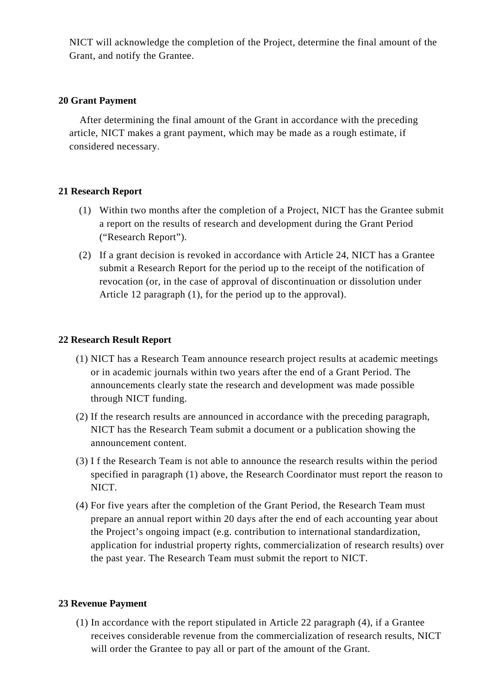NICT will acknowledge the completion of the Project, determine the final amount of the Grant, and notify the Grantee.

# **20 Grant Payment**

After determining the final amount of the Grant in accordance with the preceding article, NICT makes a grant payment, which may be made as a rough estimate, if considered necessary.

# **21 Research Report**

- (1) Within two months after the completion of a Project, NICT has the Grantee submit a report on the results of research and development during the Grant Period ("Research Report").
- (2) If a grant decision is revoked in accordance with Article 24, NICT has a Grantee submit a Research Report for the period up to the receipt of the notification of revocation (or, in the case of approval of discontinuation or dissolution under Article 12 paragraph (1), for the period up to the approval).

# **22 Research Result Report**

- (1) NICT has a Research Team announce research project results at academic meetings or in academic journals within two years after the end of a Grant Period. The announcements clearly state the research and development was made possible through NICT funding.
- (2) If the research results are announced in accordance with the preceding paragraph, NICT has the Research Team submit a document or a publication showing the announcement content.
- (3) I f the Research Team is not able to announce the research results within the period specified in paragraph (1) above, the Research Coordinator must report the reason to NICT.
- (4) For five years after the completion of the Grant Period, the Research Team must prepare an annual report within 20 days after the end of each accounting year about the Project's ongoing impact (e.g. contribution to international standardization, application for industrial property rights, commercialization of research results) over the past year. The Research Team must submit the report to NICT.

# **23 Revenue Payment**

(1) In accordance with the report stipulated in Article 22 paragraph (4), if a Grantee receives considerable revenue from the commercialization of research results, NICT will order the Grantee to pay all or part of the amount of the Grant.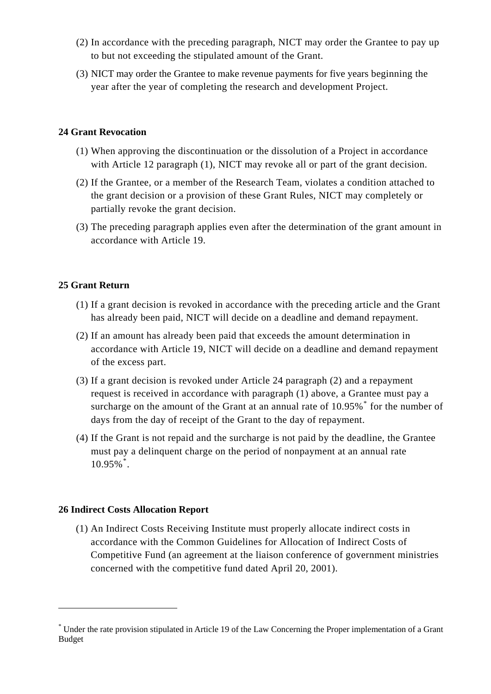- (2) In accordance with the preceding paragraph, NICT may order the Grantee to pay up to but not exceeding the stipulated amount of the Grant.
- (3) NICT may order the Grantee to make revenue payments for five years beginning the year after the year of completing the research and development Project.

# **24 Grant Revocation**

- (1) When approving the discontinuation or the dissolution of a Project in accordance with Article 12 paragraph (1), NICT may revoke all or part of the grant decision.
- (2) If the Grantee, or a member of the Research Team, violates a condition attached to the grant decision or a provision of these Grant Rules, NICT may completely or partially revoke the grant decision.
- (3) The preceding paragraph applies even after the determination of the grant amount in accordance with Article 19.

# **25 Grant Return**

- (1) If a grant decision is revoked in accordance with the preceding article and the Grant has already been paid, NICT will decide on a deadline and demand repayment.
- (2) If an amount has already been paid that exceeds the amount determination in accordance with Article 19, NICT will decide on a deadline and demand repayment of the excess part.
- (3) If a grant decision is revoked under Article 24 paragraph (2) and a repayment request is received in accordance with paragraph (1) above, a Grantee must pay a surcharge on the amount of the Grant at an annual rate of  $10.95\%$ <sup>[\\*](#page-7-0)</sup> for the number of days from the day of receipt of the Grant to the day of repayment.
- (4) If the Grant is not repaid and the surcharge is not paid by the deadline, the Grantee must pay a delinquent charge on the period of nonpayment at an annual rate 10.95%[\\*](#page-7-1) .

# **26 Indirect Costs Allocation Report**

1

(1) An Indirect Costs Receiving Institute must properly allocate indirect costs in accordance with the Common Guidelines for Allocation of Indirect Costs of Competitive Fund (an agreement at the liaison conference of government ministries concerned with the competitive fund dated April 20, 2001).

<span id="page-7-1"></span><span id="page-7-0"></span><sup>\*</sup> Under the rate provision stipulated in Article 19 of the Law Concerning the Proper implementation of a Grant Budget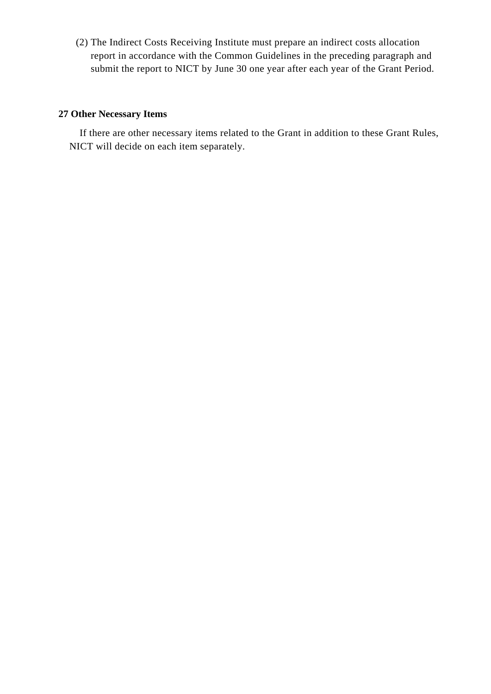(2) The Indirect Costs Receiving Institute must prepare an indirect costs allocation report in accordance with the Common Guidelines in the preceding paragraph and submit the report to NICT by June 30 one year after each year of the Grant Period.

# **27 Other Necessary Items**

If there are other necessary items related to the Grant in addition to these Grant Rules, NICT will decide on each item separately.